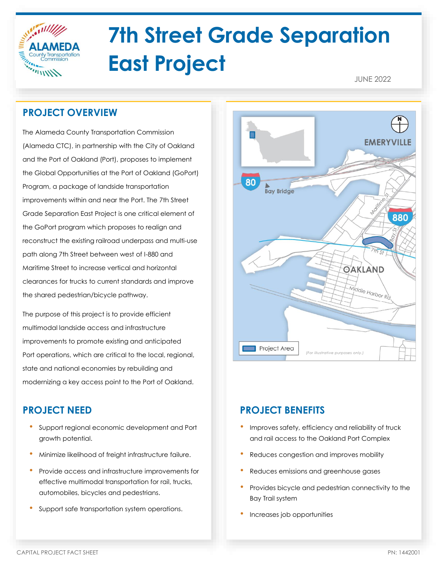

# **7th Street Grade Separation East Project**

JUNE 2022

## **PROJECT OVERVIEW**

The Alameda County Transportation Commission (Alameda CTC), in partnership with the City of Oakland and the Port of Oakland (Port), proposes to implement the Global Opportunities at the Port of Oakland (GoPort) Program, a package of landside transportation improvements within and near the Port. The 7th Street Grade Separation East Project is one critical element of the GoPort program which proposes to realign and reconstruct the existing railroad underpass and multi-use path along 7th Street between west of I-880 and Maritime Street to increase vertical and horizontal clearances for trucks to current standards and improve the shared pedestrian/bicycle pathway.

The purpose of this project is to provide efficient multimodal landside access and infrastructure improvements to promote existing and anticipated Port operations, which are critical to the local, regional, state and national economies by rebuilding and modernizing a key access point to the Port of Oakland.

# **PROJECT NEED**

- Support regional economic development and Port growth potential.
- Minimize likelihood of freight infrastructure failure.
- Provide access and infrastructure improvements for effective multimodal transportation for rail, trucks, automobiles, bicycles and pedestrians.
- Support safe transportation system operations.



# **PROJECT BENEFITS**

- Improves safety, efficiency and reliability of truck and rail access to the Oakland Port Complex
- Reduces congestion and improves mobility
- Reduces emissions and greenhouse gases
- Provides bicycle and pedestrian connectivity to the Bay Trail system
- Increases job opportunities